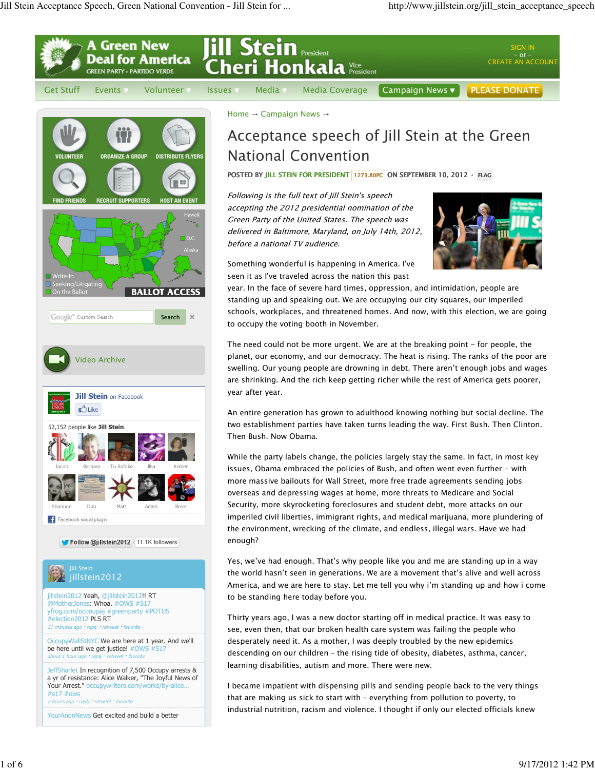

Google<sup>m</sup> Custom Search Search

 $\mathbf{x}$ 





**Follow @jillstein2012** 11.1K followers



standing up and speaking out. We are occupying our city squares, our imperiled schools, workplaces, and threatened homes. And now, with this election, we are going to occupy the voting booth in November.

The need could not be more urgent. We are at the breaking point - for people, the planet, our economy, and our democracy. The heat is rising. The ranks of the poor are swelling. Our young people are drowning in debt. There aren't enough jobs and wages are shrinking. And the rich keep getting richer while the rest of America gets poorer, year after year.

An entire generation has grown to adulthood knowing nothing but social decline. The two establishment parties have taken turns leading the way. First Bush. Then Clinton. Then Bush. Now Obama.

While the party labels change, the policies largely stay the same. In fact, in most key issues, Obama embraced the policies of Bush, and often went even further - with more massive bailouts for Wall Street, more free trade agreements sending jobs overseas and depressing wages at home, more threats to Medicare and Social Security, more skyrocketing foreclosures and student debt, more attacks on our imperiled civil liberties, immigrant rights, and medical marijuana, more plundering of the environment, wrecking of the climate, and endless, illegal wars. Have we had enough?

Yes, we've had enough. That's why people like you and me are standing up in a way the world hasn't seen in generations. We are a movement that's alive and well across America, and we are here to stay. Let me tell you why i'm standing up and how i come to be standing here today before you.

Thirty years ago, I was a new doctor starting off in medical practice. It was easy to see, even then, that our broken health care system was failing the people who desperately need it. As a mother, I was deeply troubled by the new epidemics descending on our children – the rising tide of obesity, diabetes, asthma, cancer, learning disabilities, autism and more. There were new.

I became impatient with dispensing pills and sending people back to the very things that are making us sick to start with – everything from pollution to poverty, to industrial nutrition, racism and violence. I thought if only our elected officials knew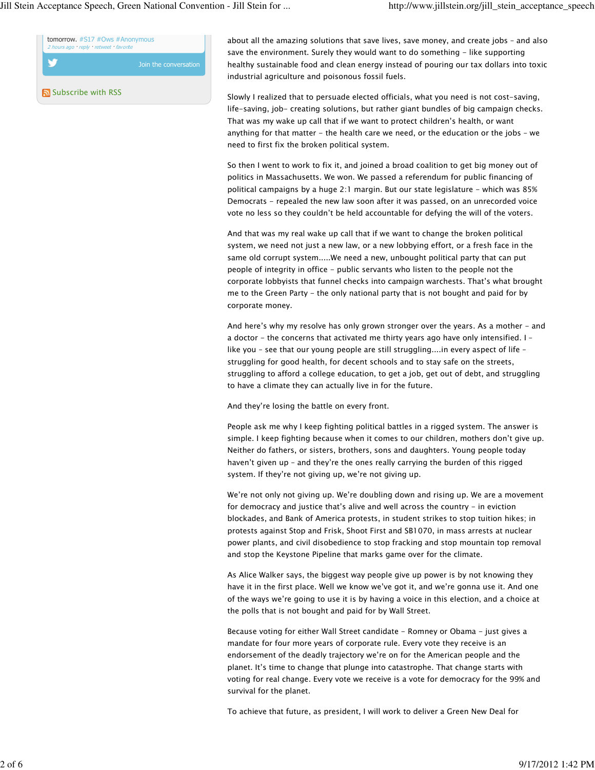Jill Stein Acceptance Speech, Green National Convention - Jill Stein for ... http://www.jillstein.org/jill\_stein\_acceptance\_speech



Subscribe with RSS

about all the amazing solutions that save lives, save money, and create jobs – and also save the environment. Surely they would want to do something - like supporting healthy sustainable food and clean energy instead of pouring our tax dollars into toxic industrial agriculture and poisonous fossil fuels.

Slowly I realized that to persuade elected officials, what you need is not cost-saving, life-saving, job- creating solutions, but rather giant bundles of big campaign checks. That was my wake up call that if we want to protect children's health, or want anything for that matter - the health care we need, or the education or the jobs – we need to first fix the broken political system.

So then I went to work to fix it, and joined a broad coalition to get big money out of politics in Massachusetts. We won. We passed a referendum for public financing of political campaigns by a huge 2:1 margin. But our state legislature - which was 85% Democrats - repealed the new law soon after it was passed, on an unrecorded voice vote no less so they couldn't be held accountable for defying the will of the voters.

And that was my real wake up call that if we want to change the broken political system, we need not just a new law, or a new lobbying effort, or a fresh face in the same old corrupt system.....We need a new, unbought political party that can put people of integrity in office - public servants who listen to the people not the corporate lobbyists that funnel checks into campaign warchests. That's what brought me to the Green Party - the only national party that is not bought and paid for by corporate money.

And here's why my resolve has only grown stronger over the years. As a mother - and a doctor - the concerns that activated me thirty years ago have only intensified. I – like you – see that our young people are still struggling....in every aspect of life – struggling for good health, for decent schools and to stay safe on the streets, struggling to afford a college education, to get a job, get out of debt, and struggling to have a climate they can actually live in for the future.

And they're losing the battle on every front.

People ask me why I keep fighting political battles in a rigged system. The answer is simple. I keep fighting because when it comes to our children, mothers don't give up. Neither do fathers, or sisters, brothers, sons and daughters. Young people today haven't given up – and they're the ones really carrying the burden of this rigged system. If they're not giving up, we're not giving up.

We're not only not giving up. We're doubling down and rising up. We are a movement for democracy and justice that's alive and well across the country - in eviction blockades, and Bank of America protests, in student strikes to stop tuition hikes; in protests against Stop and Frisk, Shoot First and SB1070, in mass arrests at nuclear power plants, and civil disobedience to stop fracking and stop mountain top removal and stop the Keystone Pipeline that marks game over for the climate.

As Alice Walker says, the biggest way people give up power is by not knowing they have it in the first place. Well we know we've got it, and we're gonna use it. And one of the ways we're going to use it is by having a voice in this election, and a choice at the polls that is not bought and paid for by Wall Street.

Because voting for either Wall Street candidate - Romney or Obama - just gives a mandate for four more years of corporate rule. Every vote they receive is an endorsement of the deadly trajectory we're on for the American people and the planet. It's time to change that plunge into catastrophe. That change starts with voting for real change. Every vote we receive is a vote for democracy for the 99% and survival for the planet.

To achieve that future, as president, I will work to deliver a Green New Deal for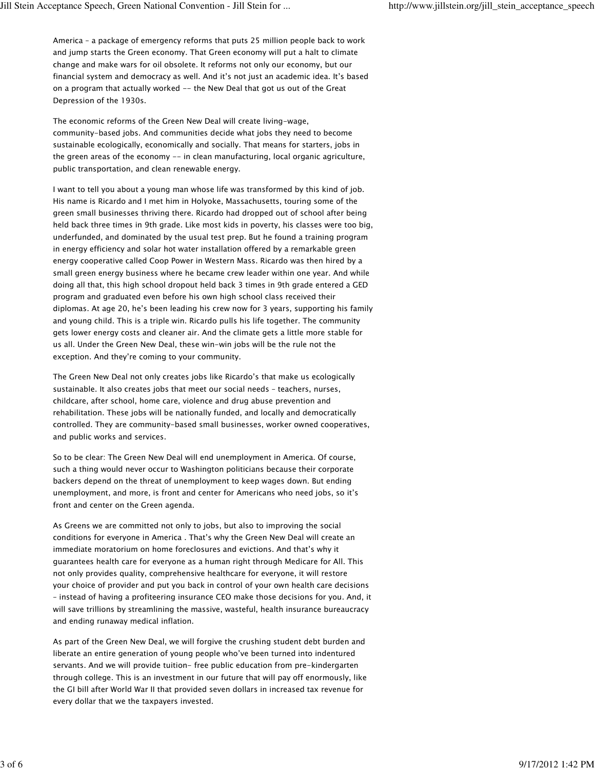America – a package of emergency reforms that puts 25 million people back to work and jump starts the Green economy. That Green economy will put a halt to climate change and make wars for oil obsolete. It reforms not only our economy, but our financial system and democracy as well. And it's not just an academic idea. It's based on a program that actually worked -- the New Deal that got us out of the Great Depression of the 1930s.

The economic reforms of the Green New Deal will create living-wage, community-based jobs. And communities decide what jobs they need to become sustainable ecologically, economically and socially. That means for starters, jobs in the green areas of the economy -- in clean manufacturing, local organic agriculture, public transportation, and clean renewable energy.

I want to tell you about a young man whose life was transformed by this kind of job. His name is Ricardo and I met him in Holyoke, Massachusetts, touring some of the green small businesses thriving there. Ricardo had dropped out of school after being held back three times in 9th grade. Like most kids in poverty, his classes were too big, underfunded, and dominated by the usual test prep. But he found a training program in energy efficiency and solar hot water installation offered by a remarkable green energy cooperative called Coop Power in Western Mass. Ricardo was then hired by a small green energy business where he became crew leader within one year. And while doing all that, this high school dropout held back 3 times in 9th grade entered a GED program and graduated even before his own high school class received their diplomas. At age 20, he's been leading his crew now for 3 years, supporting his family and young child. This is a triple win. Ricardo pulls his life together. The community gets lower energy costs and cleaner air. And the climate gets a little more stable for us all. Under the Green New Deal, these win-win jobs will be the rule not the exception. And they're coming to your community.

The Green New Deal not only creates jobs like Ricardo's that make us ecologically sustainable. It also creates jobs that meet our social needs – teachers, nurses, childcare, after school, home care, violence and drug abuse prevention and rehabilitation. These jobs will be nationally funded, and locally and democratically controlled. They are community-based small businesses, worker owned cooperatives, and public works and services.

So to be clear: The Green New Deal will end unemployment in America. Of course, such a thing would never occur to Washington politicians because their corporate backers depend on the threat of unemployment to keep wages down. But ending unemployment, and more, is front and center for Americans who need jobs, so it's front and center on the Green agenda.

As Greens we are committed not only to jobs, but also to improving the social conditions for everyone in America . That's why the Green New Deal will create an immediate moratorium on home foreclosures and evictions. And that's why it guarantees health care for everyone as a human right through Medicare for All. This not only provides quality, comprehensive healthcare for everyone, it will restore your choice of provider and put you back in control of your own health care decisions – instead of having a profiteering insurance CEO make those decisions for you. And, it will save trillions by streamlining the massive, wasteful, health insurance bureaucracy and ending runaway medical inflation.

As part of the Green New Deal, we will forgive the crushing student debt burden and liberate an entire generation of young people who've been turned into indentured servants. And we will provide tuition- free public education from pre-kindergarten through college. This is an investment in our future that will pay off enormously, like the GI bill after World War II that provided seven dollars in increased tax revenue for every dollar that we the taxpayers invested.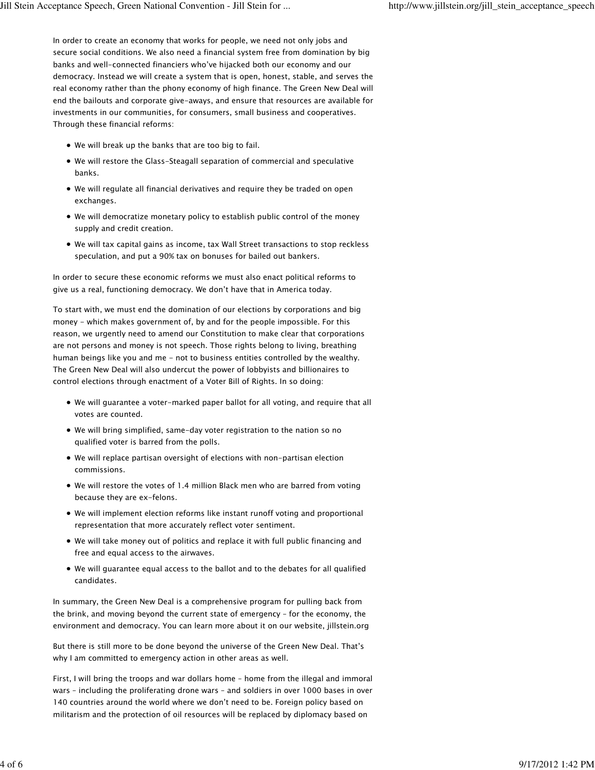In order to create an economy that works for people, we need not only jobs and secure social conditions. We also need a financial system free from domination by big banks and well-connected financiers who've hijacked both our economy and our democracy. Instead we will create a system that is open, honest, stable, and serves the real economy rather than the phony economy of high finance. The Green New Deal will end the bailouts and corporate give-aways, and ensure that resources are available for investments in our communities, for consumers, small business and cooperatives. Through these financial reforms:

- We will break up the banks that are too big to fail.
- We will restore the Glass-Steagall separation of commercial and speculative banks.
- We will regulate all financial derivatives and require they be traded on open exchanges.
- We will democratize monetary policy to establish public control of the money supply and credit creation.
- We will tax capital gains as income, tax Wall Street transactions to stop reckless speculation, and put a 90% tax on bonuses for bailed out bankers.

In order to secure these economic reforms we must also enact political reforms to give us a real, functioning democracy. We don't have that in America today.

To start with, we must end the domination of our elections by corporations and big money - which makes government of, by and for the people impossible. For this reason, we urgently need to amend our Constitution to make clear that corporations are not persons and money is not speech. Those rights belong to living, breathing human beings like you and me - not to business entities controlled by the wealthy. The Green New Deal will also undercut the power of lobbyists and billionaires to control elections through enactment of a Voter Bill of Rights. In so doing:

- We will guarantee a voter-marked paper ballot for all voting, and require that all votes are counted.
- We will bring simplified, same-day voter registration to the nation so no qualified voter is barred from the polls.
- We will replace partisan oversight of elections with non-partisan election commissions.
- We will restore the votes of 1.4 million Black men who are barred from voting because they are ex-felons.
- We will implement election reforms like instant runoff voting and proportional representation that more accurately reflect voter sentiment.
- We will take money out of politics and replace it with full public financing and free and equal access to the airwaves.
- We will guarantee equal access to the ballot and to the debates for all qualified candidates.

In summary, the Green New Deal is a comprehensive program for pulling back from the brink, and moving beyond the current state of emergency – for the economy, the environment and democracy. You can learn more about it on our website, jillstein.org

But there is still more to be done beyond the universe of the Green New Deal. That's why I am committed to emergency action in other areas as well.

First, I will bring the troops and war dollars home – home from the illegal and immoral wars – including the proliferating drone wars – and soldiers in over 1000 bases in over 140 countries around the world where we don't need to be. Foreign policy based on militarism and the protection of oil resources will be replaced by diplomacy based on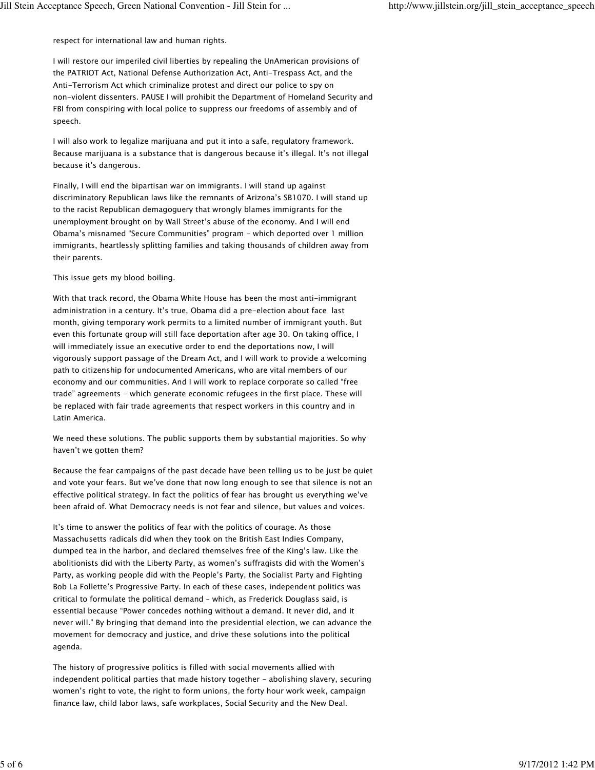respect for international law and human rights.

I will restore our imperiled civil liberties by repealing the UnAmerican provisions of the PATRIOT Act, National Defense Authorization Act, Anti-Trespass Act, and the Anti-Terrorism Act which criminalize protest and direct our police to spy on non-violent dissenters. PAUSE I will prohibit the Department of Homeland Security and FBI from conspiring with local police to suppress our freedoms of assembly and of speech.

I will also work to legalize marijuana and put it into a safe, regulatory framework. Because marijuana is a substance that is dangerous because it's illegal. It's not illegal because it's dangerous.

Finally, I will end the bipartisan war on immigrants. I will stand up against discriminatory Republican laws like the remnants of Arizona's SB1070. I will stand up to the racist Republican demagoguery that wrongly blames immigrants for the unemployment brought on by Wall Street's abuse of the economy. And I will end Obama's misnamed "Secure Communities" program - which deported over 1 million immigrants, heartlessly splitting families and taking thousands of children away from their parents.

This issue gets my blood boiling.

With that track record, the Obama White House has been the most anti-immigrant administration in a century. It's true, Obama did a pre-election about face last month, giving temporary work permits to a limited number of immigrant youth. But even this fortunate group will still face deportation after age 30. On taking office, I will immediately issue an executive order to end the deportations now, I will vigorously support passage of the Dream Act, and I will work to provide a welcoming path to citizenship for undocumented Americans, who are vital members of our economy and our communities. And I will work to replace corporate so called "free trade" agreements - which generate economic refugees in the first place. These will be replaced with fair trade agreements that respect workers in this country and in Latin America.

We need these solutions. The public supports them by substantial majorities. So why haven't we gotten them?

Because the fear campaigns of the past decade have been telling us to be just be quiet and vote your fears. But we've done that now long enough to see that silence is not an effective political strategy. In fact the politics of fear has brought us everything we've been afraid of. What Democracy needs is not fear and silence, but values and voices.

It's time to answer the politics of fear with the politics of courage. As those Massachusetts radicals did when they took on the British East Indies Company, dumped tea in the harbor, and declared themselves free of the King's law. Like the abolitionists did with the Liberty Party, as women's suffragists did with the Women's Party, as working people did with the People's Party, the Socialist Party and Fighting Bob La Follette's Progressive Party. In each of these cases, independent politics was critical to formulate the political demand – which, as Frederick Douglass said, is essential because "Power concedes nothing without a demand. It never did, and it never will." By bringing that demand into the presidential election, we can advance the movement for democracy and justice, and drive these solutions into the political agenda.

The history of progressive politics is filled with social movements allied with independent political parties that made history together - abolishing slavery, securing women's right to vote, the right to form unions, the forty hour work week, campaign finance law, child labor laws, safe workplaces, Social Security and the New Deal.